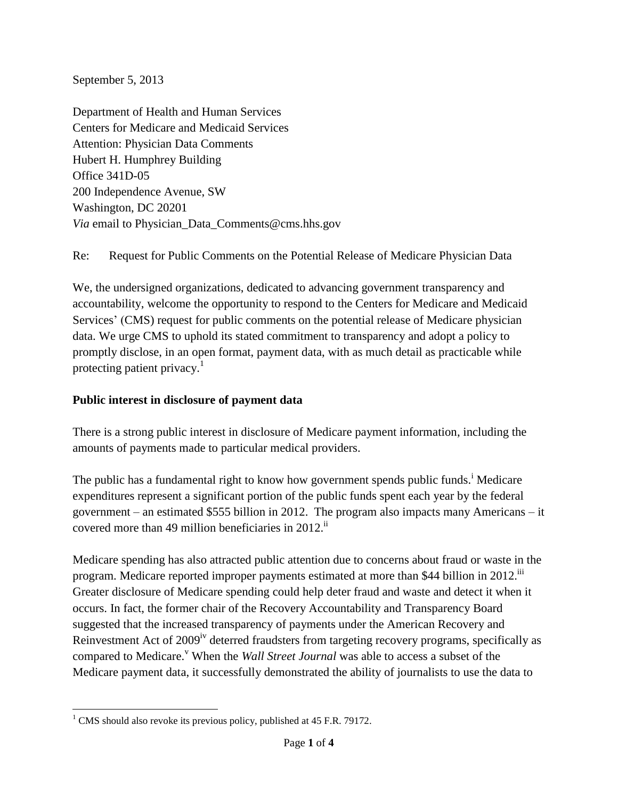September 5, 2013

Department of Health and Human Services Centers for Medicare and Medicaid Services Attention: Physician Data Comments Hubert H. Humphrey Building Office 341D-05 200 Independence Avenue, SW Washington, DC 20201 *Via* email to Physician\_Data\_Comments@cms.hhs.gov

Re: Request for Public Comments on the Potential Release of Medicare Physician Data

We, the undersigned organizations, dedicated to advancing government transparency and accountability, welcome the opportunity to respond to the Centers for Medicare and Medicaid Services' (CMS) request for public comments on the potential release of Medicare physician data. We urge CMS to uphold its stated commitment to transparency and adopt a policy to promptly disclose, in an open format, payment data, with as much detail as practicable while protecting patient privacy. $\frac{1}{1}$ 

## **Public interest in disclosure of payment data**

There is a strong public interest in disclosure of Medicare payment information, including the amounts of payments made to particular medical providers.

The public has a fundamental right to know how government spends public funds.<sup>i</sup> Medicare expenditures represent a significant portion of the public funds spent each year by the federal government – an estimated \$555 billion in 2012. The program also impacts many Americans – it covered more than 49 million beneficiaries in  $2012$ .<sup>ii</sup>

Medicare spending has also attracted public attention due to concerns about fraud or waste in the program. Medicare reported improper payments estimated at more than \$44 billion in 2012.<sup>iii</sup> Greater disclosure of Medicare spending could help deter fraud and waste and detect it when it occurs. In fact, the former chair of the Recovery Accountability and Transparency Board suggested that the increased transparency of payments under the American Recovery and Reinvestment Act of 2009<sup>iv</sup> deterred fraudsters from targeting recovery programs, specifically as compared to Medicare.<sup>v</sup> When the *Wall Street Journal* was able to access a subset of the Medicare payment data, it successfully demonstrated the ability of journalists to use the data to

 $\overline{\phantom{a}}$  $1$  CMS should also revoke its previous policy, published at 45 F.R. 79172.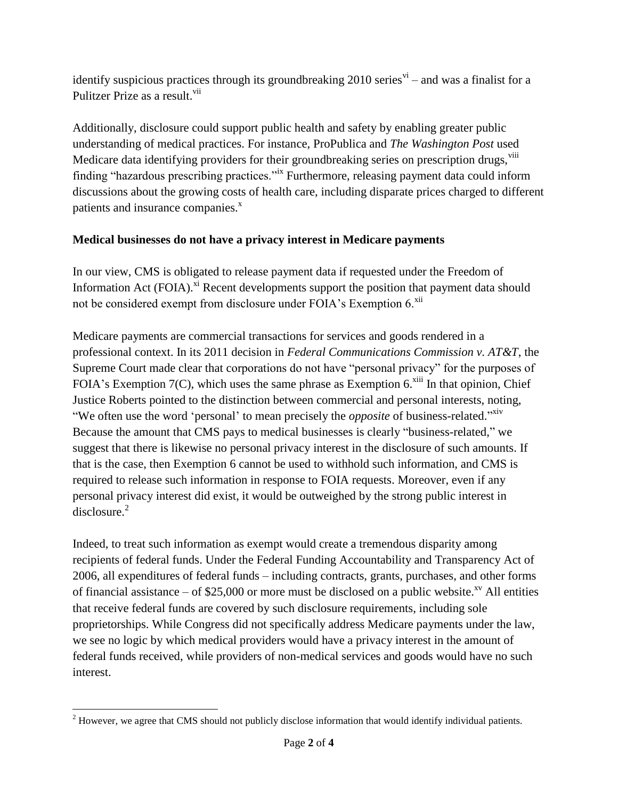identify suspicious practices through its groundbreaking  $2010$  series<sup> $vi$ </sup> – and was a finalist for a Pulitzer Prize as a result.<sup>vii</sup>

Additionally, disclosure could support public health and safety by enabling greater public understanding of medical practices. For instance, ProPublica and *The Washington Post* used Medicare data identifying providers for their groundbreaking series on prescription drugs, viii finding "hazardous prescribing practices."<sup>ix</sup> Furthermore, releasing payment data could inform discussions about the growing costs of health care, including disparate prices charged to different patients and insurance companies.<sup>x</sup>

## **Medical businesses do not have a privacy interest in Medicare payments**

In our view, CMS is obligated to release payment data if requested under the Freedom of Information Act  $(FOIA)$ <sup>xi</sup> Recent developments support the position that payment data should not be considered exempt from disclosure under FOIA's Exemption 6.<sup>xii</sup>

Medicare payments are commercial transactions for services and goods rendered in a professional context. In its 2011 decision in *Federal Communications Commission v. AT&T*, the Supreme Court made clear that corporations do not have "personal privacy" for the purposes of FOIA's Exemption  $7(C)$ , which uses the same phrase as Exemption 6.<sup>xiii</sup> In that opinion, Chief Justice Roberts pointed to the distinction between commercial and personal interests, noting, "We often use the word 'personal' to mean precisely the *opposite* of business-related."<sup>xiv</sup> Because the amount that CMS pays to medical businesses is clearly "business-related," we suggest that there is likewise no personal privacy interest in the disclosure of such amounts. If that is the case, then Exemption 6 cannot be used to withhold such information, and CMS is required to release such information in response to FOIA requests. Moreover, even if any personal privacy interest did exist, it would be outweighed by the strong public interest in disclosure. 2

Indeed, to treat such information as exempt would create a tremendous disparity among recipients of federal funds. Under the Federal Funding Accountability and Transparency Act of 2006, all expenditures of federal funds – including contracts, grants, purchases, and other forms of financial assistance – of \$25,000 or more must be disclosed on a public website.<sup>xv</sup> All entities that receive federal funds are covered by such disclosure requirements, including sole proprietorships. While Congress did not specifically address Medicare payments under the law, we see no logic by which medical providers would have a privacy interest in the amount of federal funds received, while providers of non-medical services and goods would have no such interest.

 $\overline{\phantom{a}}$ <sup>2</sup> However, we agree that CMS should not publicly disclose information that would identify individual patients.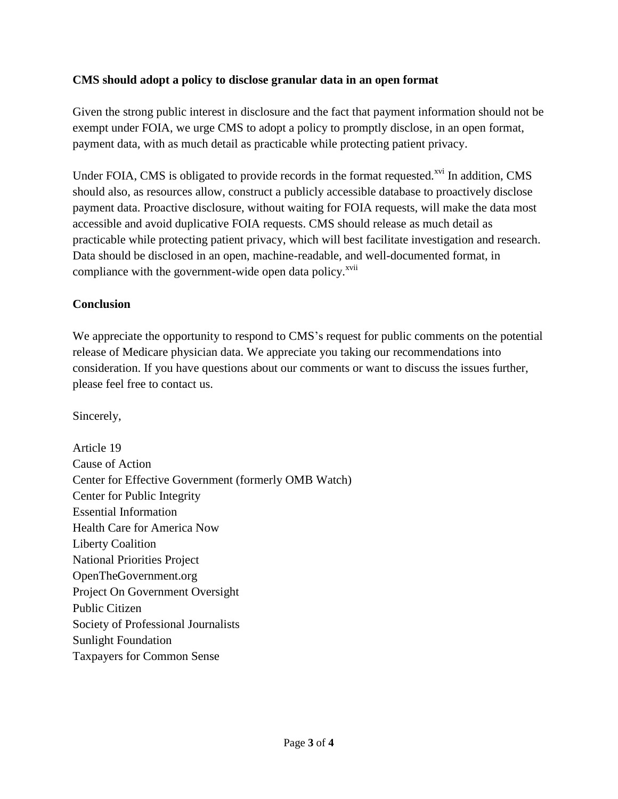## **CMS should adopt a policy to disclose granular data in an open format**

Given the strong public interest in disclosure and the fact that payment information should not be exempt under FOIA, we urge CMS to adopt a policy to promptly disclose, in an open format, payment data, with as much detail as practicable while protecting patient privacy.

Under FOIA, CMS is obligated to provide records in the format requested.<sup>xvi</sup> In addition, CMS should also, as resources allow, construct a publicly accessible database to proactively disclose payment data. Proactive disclosure, without waiting for FOIA requests, will make the data most accessible and avoid duplicative FOIA requests. CMS should release as much detail as practicable while protecting patient privacy, which will best facilitate investigation and research. Data should be disclosed in an open, machine-readable, and well-documented format, in compliance with the government-wide open data policy.<sup>xvii</sup>

## **Conclusion**

We appreciate the opportunity to respond to CMS's request for public comments on the potential release of Medicare physician data. We appreciate you taking our recommendations into consideration. If you have questions about our comments or want to discuss the issues further, please feel free to contact us.

Sincerely,

Article 19 Cause of Action Center for Effective Government (formerly OMB Watch) Center for Public Integrity Essential Information Health Care for America Now Liberty Coalition National Priorities Project OpenTheGovernment.org Project On Government Oversight Public Citizen Society of Professional Journalists Sunlight Foundation Taxpayers for Common Sense